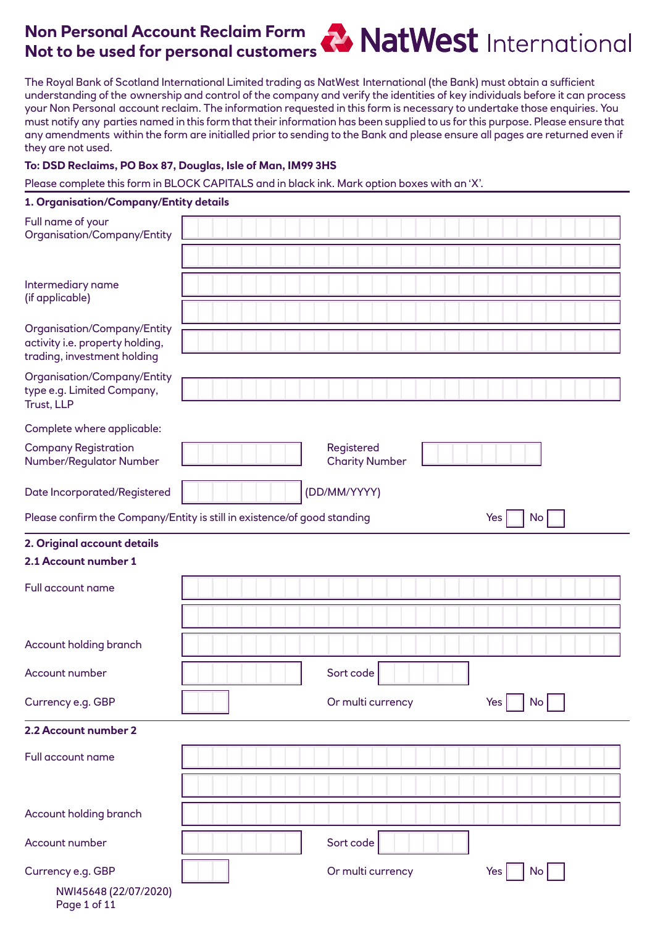# **Non Personal Account Reclaim Form Not to be used for personal customers**

The Royal Bank of Scotland International Limited trading as NatWest International (the Bank) must obtain a sufficient understanding of the ownership and control of the company and verify the identities of key individuals before it can process your Non Personal account reclaim. The information requested in this form is necessary to undertake those enquiries. You must notify any parties named in this form that their information has been supplied to us for this purpose. Please ensure that any amendments within the form are initialled prior to sending to the Bank and please ensure all pages are returned even if they are not used.

### **To: DSD Reclaims, PO Box 87, Douglas, Isle of Man, IM99 3HS**

Please complete this form in BLOCK CAPITALS and in black ink. Mark option boxes with an 'X'.

#### **1. Organisation/Company/Entity details**

| Full name of your<br>Organisation/Company/Entity                                              |                                                                                       |
|-----------------------------------------------------------------------------------------------|---------------------------------------------------------------------------------------|
| Intermediary name<br>(if applicable)                                                          |                                                                                       |
| Organisation/Company/Entity<br>activity i.e. property holding,<br>trading, investment holding |                                                                                       |
| Organisation/Company/Entity<br>type e.g. Limited Company,<br>Trust, LLP                       |                                                                                       |
| Complete where applicable:                                                                    |                                                                                       |
| <b>Company Registration</b><br>Number/Regulator Number                                        | Registered<br><b>Charity Number</b>                                                   |
| Date Incorporated/Registered                                                                  | (DD/MM/YYYY)                                                                          |
|                                                                                               | Please confirm the Company/Entity is still in existence/of good standing<br>No<br>Yes |
| 2. Original account details                                                                   |                                                                                       |
| 2.1 Account number 1                                                                          |                                                                                       |
| Full account name                                                                             |                                                                                       |
| Account holding branch                                                                        |                                                                                       |
| Account number                                                                                | Sort code                                                                             |
| Currency e.g. GBP                                                                             | $Yes$ $No$ $\Box$<br>Or multi currency                                                |
| 2.2 Account number 2                                                                          |                                                                                       |
| Full account name                                                                             |                                                                                       |
|                                                                                               |                                                                                       |
| Account holding branch                                                                        |                                                                                       |
| Account number                                                                                | Sort code                                                                             |
| Currency e.g. GBP                                                                             | Or multi currency<br>Yes<br>$\overline{N}$ o                                          |
| NWI45648 (22/07/2020)<br>Page 1 of 11                                                         |                                                                                       |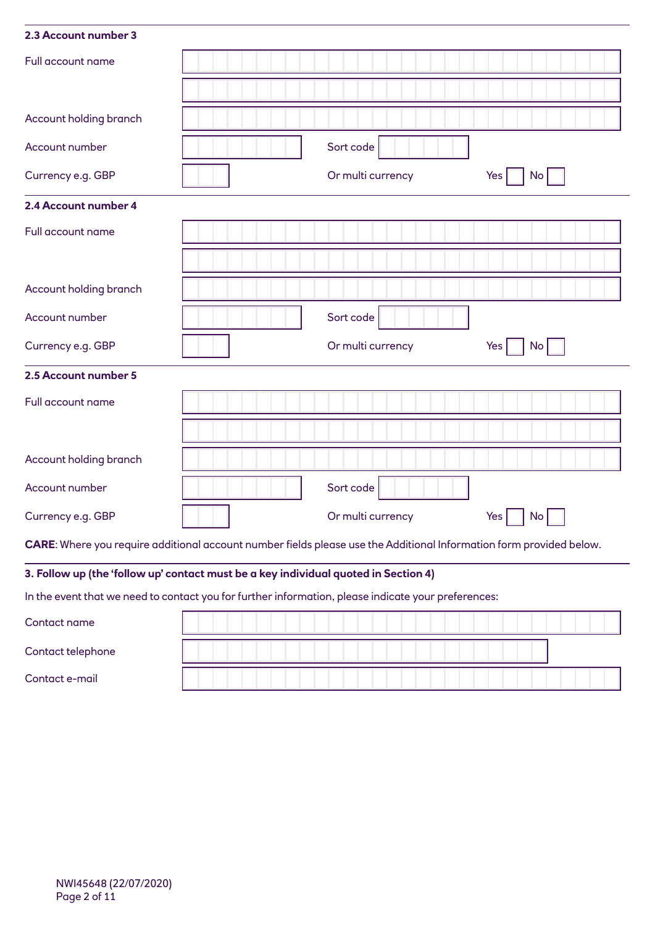| 2.3 Account number 3   |                                                                                                                     |
|------------------------|---------------------------------------------------------------------------------------------------------------------|
| Full account name      |                                                                                                                     |
|                        |                                                                                                                     |
| Account holding branch |                                                                                                                     |
| Account number         | Sort code                                                                                                           |
| Currency e.g. GBP      | Or multi currency<br>No <sub>1</sub><br>Yes                                                                         |
| 2.4 Account number 4   |                                                                                                                     |
| Full account name      |                                                                                                                     |
|                        |                                                                                                                     |
| Account holding branch |                                                                                                                     |
| Account number         | Sort code                                                                                                           |
| Currency e.g. GBP      | Or multi currency<br>No <sub>1</sub><br>Yes                                                                         |
| 2.5 Account number 5   |                                                                                                                     |
| Full account name      |                                                                                                                     |
|                        |                                                                                                                     |
| Account holding branch |                                                                                                                     |
| Account number         | Sort code                                                                                                           |
| Currency e.g. GBP      | Or multi currency<br>$\overline{N}$ o<br>Yes                                                                        |
|                        | CARE: Where you require additional account number fields please use the Additional Information form provided below. |
|                        | 3. Follow up (the 'follow up' contact must be a key individual quoted in Section 4)                                 |
|                        | In the event that we need to contact you for further information, please indicate your preferences:                 |
|                        |                                                                                                                     |

| Contact name      |  |
|-------------------|--|
| Contact telephone |  |
| Contact e-mail    |  |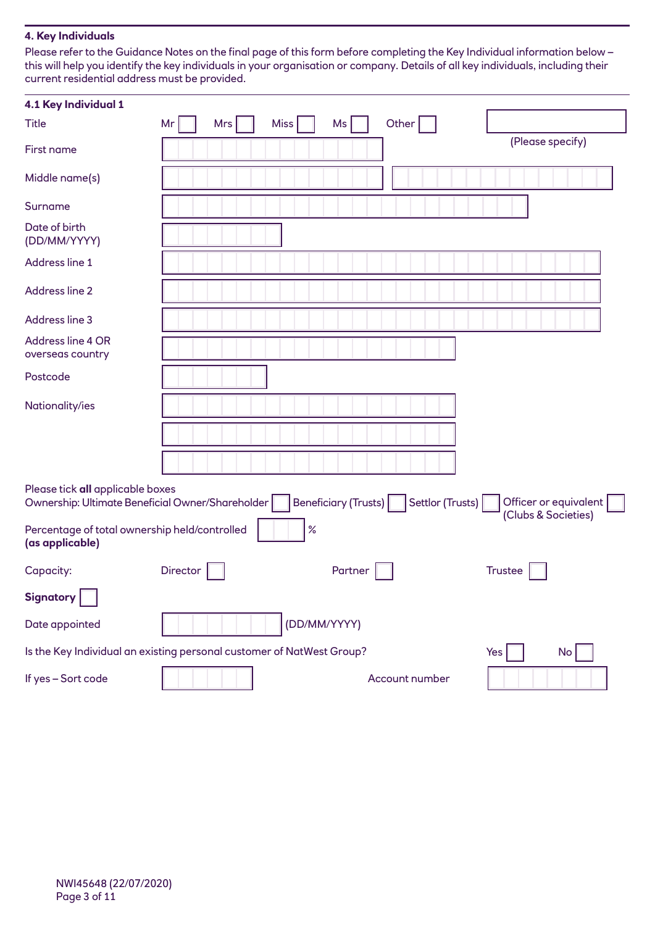## **4. Key Individuals**

Please refer to the Guidance Notes on the final page of this form before completing the Key Individual information below – this will help you identify the key individuals in your organisation or company. Details of all key individuals, including their current residential address must be provided.

| 4.1 Key Individual 1                                                                 |          |     |              |                      |                  |                       |
|--------------------------------------------------------------------------------------|----------|-----|--------------|----------------------|------------------|-----------------------|
| <b>Title</b>                                                                         | Mr       | Mrs | <b>Miss</b>  | Ms                   | Other            |                       |
| First name                                                                           |          |     |              |                      |                  | (Please specify)      |
| Middle name(s)                                                                       |          |     |              |                      |                  |                       |
| Surname                                                                              |          |     |              |                      |                  |                       |
| Date of birth<br>(DD/MM/YYYY)                                                        |          |     |              |                      |                  |                       |
| Address line 1                                                                       |          |     |              |                      |                  |                       |
| Address line 2                                                                       |          |     |              |                      |                  |                       |
| Address line 3                                                                       |          |     |              |                      |                  |                       |
| Address line 4 OR<br>overseas country                                                |          |     |              |                      |                  |                       |
| Postcode                                                                             |          |     |              |                      |                  |                       |
| Nationality/ies                                                                      |          |     |              |                      |                  |                       |
|                                                                                      |          |     |              |                      |                  |                       |
|                                                                                      |          |     |              |                      |                  |                       |
| Please tick all applicable boxes<br>Ownership: Ultimate Beneficial Owner/Shareholder |          |     |              | Beneficiary (Trusts) | Settlor (Trusts) | Officer or equivalent |
| Percentage of total ownership held/controlled<br>(as applicable)                     |          |     | $\%$         |                      |                  | (Clubs & Societies)   |
| Capacity:                                                                            | Director |     |              | Partner              |                  | <b>Trustee</b>        |
| <b>Signatory</b>                                                                     |          |     |              |                      |                  |                       |
| Date appointed                                                                       |          |     | (DD/MM/YYYY) |                      |                  |                       |
| Is the Key Individual an existing personal customer of NatWest Group?                |          |     |              |                      |                  | No<br>Yes             |
| If yes - Sort code                                                                   |          |     |              |                      | Account number   |                       |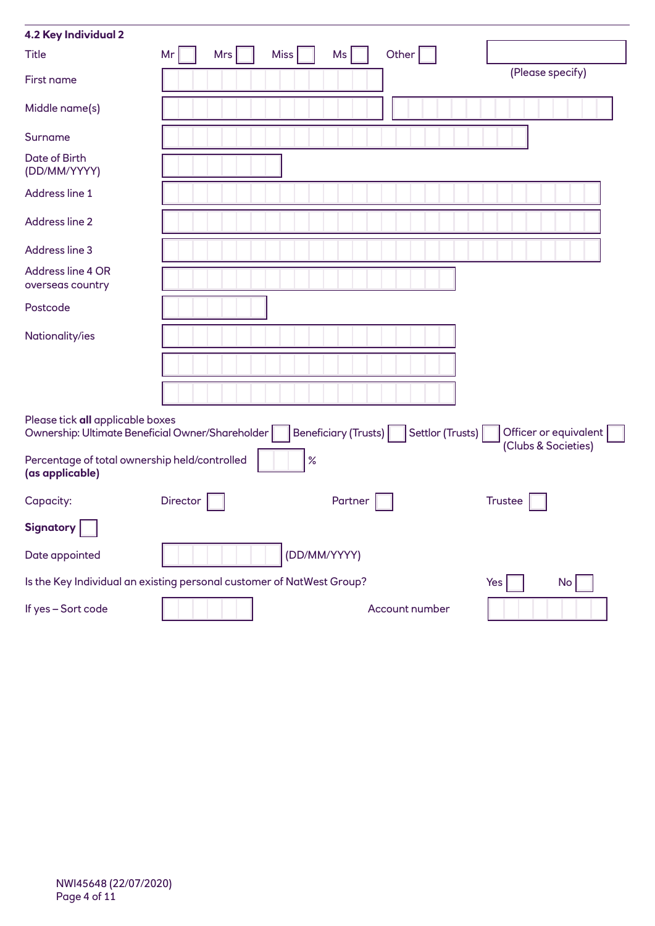| 4.2 Key Individual 2                                                                 |          |     |              |                      |                  |     |                     |                       |
|--------------------------------------------------------------------------------------|----------|-----|--------------|----------------------|------------------|-----|---------------------|-----------------------|
| <b>Title</b>                                                                         | Mr       | Mrs | <b>Miss</b>  | Ms                   | Other            |     |                     |                       |
| First name                                                                           |          |     |              |                      |                  |     | (Please specify)    |                       |
| Middle name(s)                                                                       |          |     |              |                      |                  |     |                     |                       |
| Surname                                                                              |          |     |              |                      |                  |     |                     |                       |
| Date of Birth<br>(DD/MM/YYYY)                                                        |          |     |              |                      |                  |     |                     |                       |
| Address line 1                                                                       |          |     |              |                      |                  |     |                     |                       |
| Address line 2                                                                       |          |     |              |                      |                  |     |                     |                       |
| Address line 3                                                                       |          |     |              |                      |                  |     |                     |                       |
| Address line 4 OR<br>overseas country                                                |          |     |              |                      |                  |     |                     |                       |
| Postcode                                                                             |          |     |              |                      |                  |     |                     |                       |
| Nationality/ies                                                                      |          |     |              |                      |                  |     |                     |                       |
|                                                                                      |          |     |              |                      |                  |     |                     |                       |
|                                                                                      |          |     |              |                      |                  |     |                     |                       |
| Please tick all applicable boxes<br>Ownership: Ultimate Beneficial Owner/Shareholder |          |     |              | Beneficiary (Trusts) | Settlor (Trusts) |     | (Clubs & Societies) | Officer or equivalent |
| Percentage of total ownership held/controlled<br>(as applicable)                     |          |     | $\%$         |                      |                  |     |                     |                       |
| Capacity:                                                                            | Director |     |              | Partner              |                  |     | <b>Trustee</b>      |                       |
| <b>Signatory</b>                                                                     |          |     |              |                      |                  |     |                     |                       |
| Date appointed                                                                       |          |     | (DD/MM/YYYY) |                      |                  |     |                     |                       |
| Is the Key Individual an existing personal customer of NatWest Group?                |          |     |              |                      |                  | Yes |                     | No                    |
| If yes - Sort code                                                                   |          |     |              |                      | Account number   |     |                     |                       |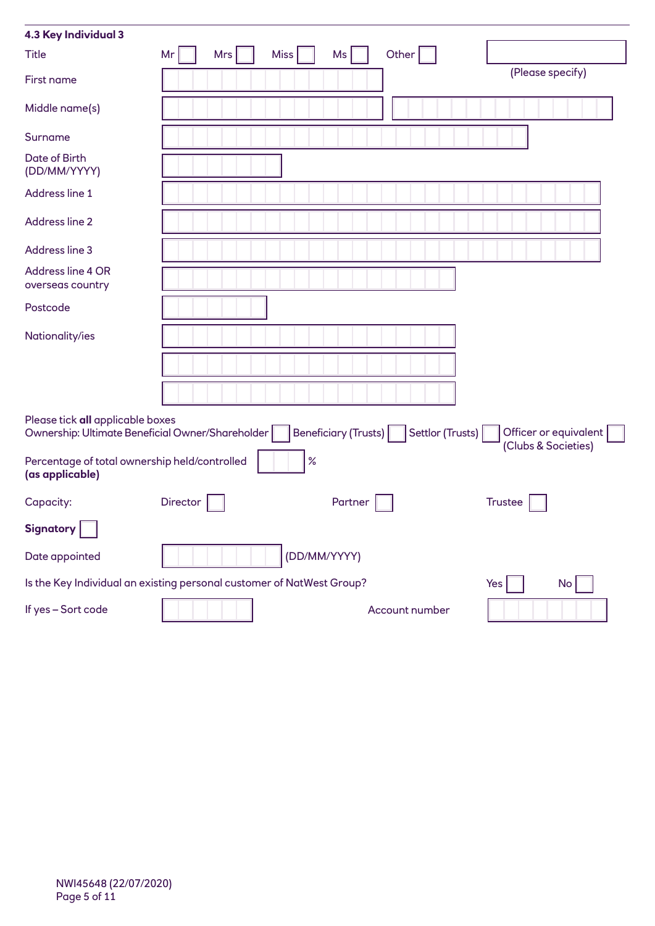| 4.3 Key Individual 3                                                                                                                                                               |          |            |              |         |                |  |                  |    |
|------------------------------------------------------------------------------------------------------------------------------------------------------------------------------------|----------|------------|--------------|---------|----------------|--|------------------|----|
| <b>Title</b>                                                                                                                                                                       | Mr       | <b>Mrs</b> | <b>Miss</b>  | Ms      | Other          |  |                  |    |
| First name                                                                                                                                                                         |          |            |              |         |                |  | (Please specify) |    |
| Middle name(s)                                                                                                                                                                     |          |            |              |         |                |  |                  |    |
| Surname                                                                                                                                                                            |          |            |              |         |                |  |                  |    |
| Date of Birth<br>(DD/MM/YYYY)                                                                                                                                                      |          |            |              |         |                |  |                  |    |
| Address line 1                                                                                                                                                                     |          |            |              |         |                |  |                  |    |
| Address line 2                                                                                                                                                                     |          |            |              |         |                |  |                  |    |
| Address line 3                                                                                                                                                                     |          |            |              |         |                |  |                  |    |
| Address line 4 OR<br>overseas country                                                                                                                                              |          |            |              |         |                |  |                  |    |
| Postcode                                                                                                                                                                           |          |            |              |         |                |  |                  |    |
| Nationality/ies                                                                                                                                                                    |          |            |              |         |                |  |                  |    |
|                                                                                                                                                                                    |          |            |              |         |                |  |                  |    |
|                                                                                                                                                                                    |          |            |              |         |                |  |                  |    |
| Please tick all applicable boxes<br>Beneficiary (Trusts)<br>Settlor (Trusts)<br>Officer or equivalent  <br>Ownership: Ultimate Beneficial Owner/Shareholder<br>(Clubs & Societies) |          |            |              |         |                |  |                  |    |
| Percentage of total ownership held/controlled<br>(as applicable)                                                                                                                   |          |            | $\%$         |         |                |  |                  |    |
| Capacity:                                                                                                                                                                          | Director |            |              | Partner |                |  | <b>Trustee</b>   |    |
| <b>Signatory</b>                                                                                                                                                                   |          |            |              |         |                |  |                  |    |
| Date appointed                                                                                                                                                                     |          |            | (DD/MM/YYYY) |         |                |  |                  |    |
| Is the Key Individual an existing personal customer of NatWest Group?                                                                                                              |          |            |              |         |                |  | Yes              | No |
| If yes - Sort code                                                                                                                                                                 |          |            |              |         | Account number |  |                  |    |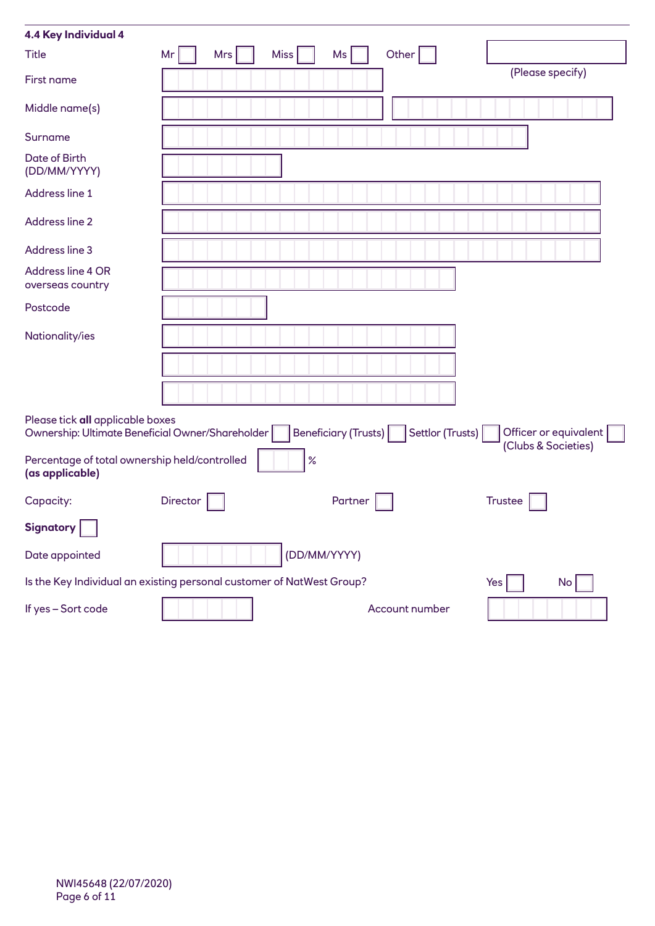| 4.4 Key Individual 4                                                                 |          |     |              |                      |                  |                     |                       |
|--------------------------------------------------------------------------------------|----------|-----|--------------|----------------------|------------------|---------------------|-----------------------|
| <b>Title</b>                                                                         | Mr       | Mrs | <b>Miss</b>  | Ms                   | Other            |                     |                       |
| First name                                                                           |          |     |              |                      |                  | (Please specify)    |                       |
| Middle name(s)                                                                       |          |     |              |                      |                  |                     |                       |
| Surname                                                                              |          |     |              |                      |                  |                     |                       |
| Date of Birth<br>(DD/MM/YYYY)                                                        |          |     |              |                      |                  |                     |                       |
| Address line 1                                                                       |          |     |              |                      |                  |                     |                       |
| Address line 2                                                                       |          |     |              |                      |                  |                     |                       |
| Address line 3                                                                       |          |     |              |                      |                  |                     |                       |
| Address line 4 OR<br>overseas country                                                |          |     |              |                      |                  |                     |                       |
| Postcode                                                                             |          |     |              |                      |                  |                     |                       |
| Nationality/ies                                                                      |          |     |              |                      |                  |                     |                       |
|                                                                                      |          |     |              |                      |                  |                     |                       |
|                                                                                      |          |     |              |                      |                  |                     |                       |
| Please tick all applicable boxes<br>Ownership: Ultimate Beneficial Owner/Shareholder |          |     |              | Beneficiary (Trusts) | Settlor (Trusts) | (Clubs & Societies) | Officer or equivalent |
| Percentage of total ownership held/controlled<br>(as applicable)                     |          |     | $\%$         |                      |                  |                     |                       |
| Capacity:                                                                            | Director |     |              | Partner              |                  | <b>Trustee</b>      |                       |
| <b>Signatory</b>                                                                     |          |     |              |                      |                  |                     |                       |
| Date appointed                                                                       |          |     | (DD/MM/YYYY) |                      |                  |                     |                       |
| Is the Key Individual an existing personal customer of NatWest Group?                |          |     |              |                      |                  | Yes                 | No                    |
| If yes - Sort code                                                                   |          |     |              |                      | Account number   |                     |                       |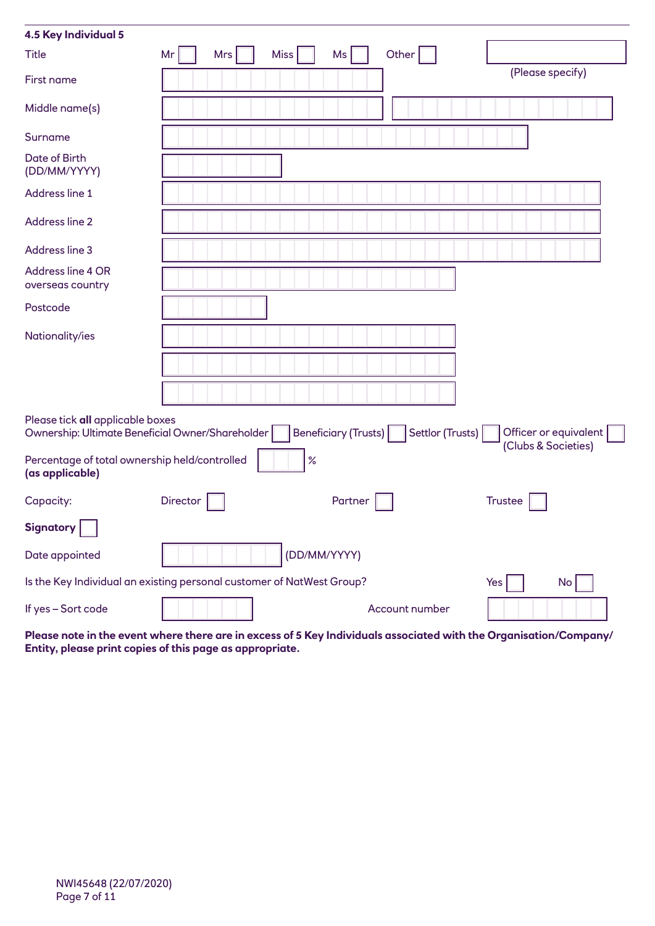| 4.5 Key Individual 5                                                  |                                                                                                                                                           |                   |                |                     |  |  |  |  |
|-----------------------------------------------------------------------|-----------------------------------------------------------------------------------------------------------------------------------------------------------|-------------------|----------------|---------------------|--|--|--|--|
| <b>Title</b>                                                          | Mr<br><b>Mrs</b>                                                                                                                                          | <b>Miss</b><br>Ms | Other          |                     |  |  |  |  |
| First name                                                            |                                                                                                                                                           |                   |                | (Please specify)    |  |  |  |  |
| Middle name(s)                                                        |                                                                                                                                                           |                   |                |                     |  |  |  |  |
| Surname                                                               |                                                                                                                                                           |                   |                |                     |  |  |  |  |
| Date of Birth<br>(DD/MM/YYYY)                                         |                                                                                                                                                           |                   |                |                     |  |  |  |  |
| Address line 1                                                        |                                                                                                                                                           |                   |                |                     |  |  |  |  |
| Address line 2                                                        |                                                                                                                                                           |                   |                |                     |  |  |  |  |
| Address line 3                                                        |                                                                                                                                                           |                   |                |                     |  |  |  |  |
| Address line 4 OR<br>overseas country                                 |                                                                                                                                                           |                   |                |                     |  |  |  |  |
| Postcode                                                              |                                                                                                                                                           |                   |                |                     |  |  |  |  |
| Nationality/ies                                                       |                                                                                                                                                           |                   |                |                     |  |  |  |  |
|                                                                       |                                                                                                                                                           |                   |                |                     |  |  |  |  |
|                                                                       |                                                                                                                                                           |                   |                |                     |  |  |  |  |
|                                                                       | Please tick all applicable boxes<br>Beneficiary (Trusts)<br>Settlor (Trusts)<br>Officer or equivalent<br>Ownership: Ultimate Beneficial Owner/Shareholder |                   |                |                     |  |  |  |  |
| Percentage of total ownership held/controlled<br>(as applicable)      |                                                                                                                                                           | $\%$              |                | (Clubs & Societies) |  |  |  |  |
| Capacity:                                                             | <b>Director</b>                                                                                                                                           | Partner           |                | <b>Trustee</b>      |  |  |  |  |
| <b>Signatory</b>                                                      |                                                                                                                                                           |                   |                |                     |  |  |  |  |
| Date appointed                                                        |                                                                                                                                                           | (DD/MM/YYYY)      |                |                     |  |  |  |  |
| Is the Key Individual an existing personal customer of NatWest Group? |                                                                                                                                                           |                   |                | Yes<br>No           |  |  |  |  |
| If yes - Sort code                                                    |                                                                                                                                                           |                   | Account number |                     |  |  |  |  |

**Please note in the event where there are in excess of 5 Key Individuals associated with the Organisation/Company/ Entity, please print copies of this page as appropriate.**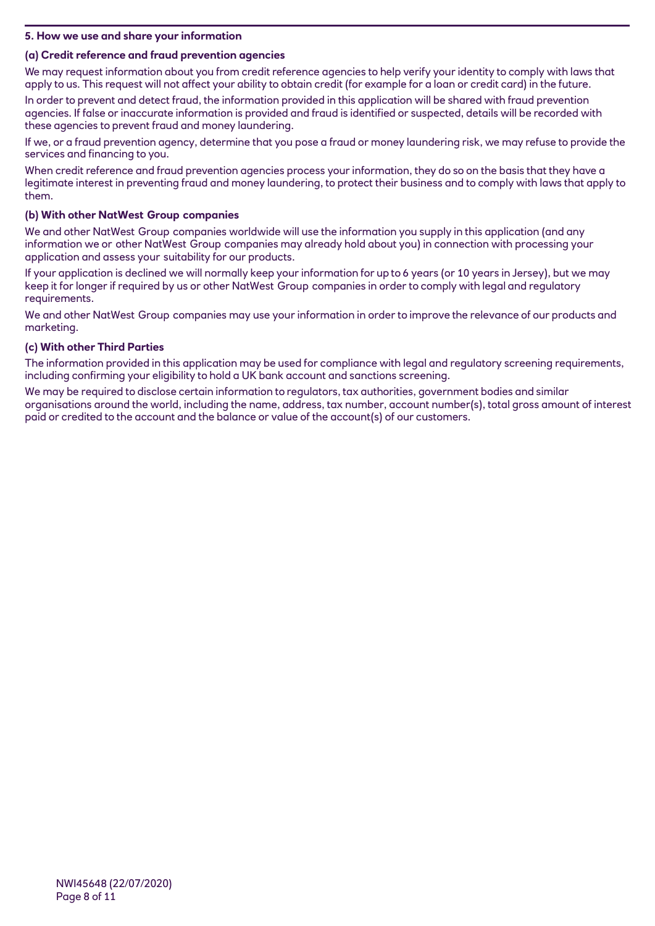## **5. How we use and share your information**

# **(a) Credit reference and fraud prevention agencies**

We may request information about you from credit reference agencies to help verify your identity to comply with laws that apply to us. This request will not affect your ability to obtain credit (for example for a loan or credit card) in the future.

In order to prevent and detect fraud, the information provided in this application will be shared with fraud prevention agencies. If false or inaccurate information is provided and fraud is identified or suspected, details will be recorded with these agencies to prevent fraud and money laundering.

If we, or a fraud prevention agency, determine that you pose a fraud or money laundering risk, we may refuse to provide the services and financing to you.

When credit reference and fraud prevention agencies process your information, they do so on the basis that they have a legitimate interest in preventing fraud and money laundering, to protect their business and to comply with laws that apply to them.

# **(b) With other NatWest Group companies**

We and other NatWest Group companies worldwide will use the information you supply in this application (and any information we or other NatWest Group companies may already hold about you) in connection with processing your application and assess your suitability for our products.

If your application is declined we will normally keep your information for up to 6 years (or 10 years in Jersey), but we may keep it for longer if required by us or other NatWest Group companies in order to comply with legal and regulatory requirements.

We and other NatWest Group companies may use your information in order to improve the relevance of our products and marketing.

## **(c) With other Third Parties**

The information provided in this application may be used for compliance with legal and regulatory screening requirements, including confirming your eligibility to hold a UK bank account and sanctions screening.

We may be required to disclose certain information to regulators, tax authorities, government bodies and similar organisations around the world, including the name, address, tax number, account number(s), total gross amount of interest paid or credited to the account and the balance or value of the account(s) of our customers.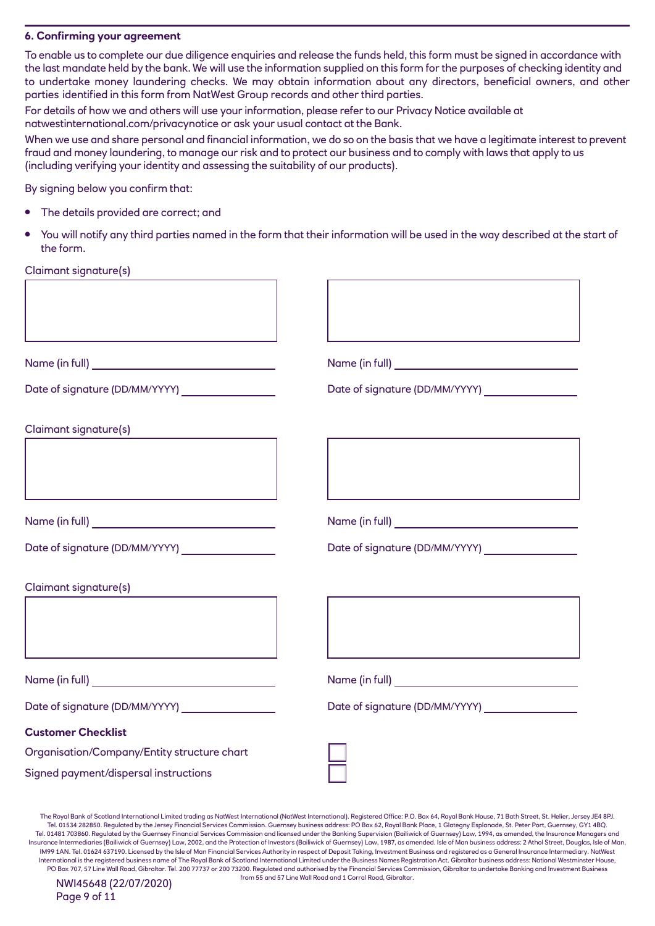### **6. Confirming your agreement**

To enable us to complete our due diligence enquiries and release the funds held, this form must be signed in accordance with the last mandate held by the bank. We will use the information supplied on this form for the purposes of checking identity and to undertake money laundering checks. We may obtain information about any directors, beneficial owners, and other parties identified in this form from NatWest Group records and other third parties.

For details of how we and others will use your information, please refer to our Privacy Notice available at natwestinternational.com/privacynotice or ask your usual contact at the Bank.

When we use and share personal and financial information, we do so on the basis that we have a legitimate interest to prevent fraud and money laundering, to manage our risk and to protect our business and to comply with laws that apply to us (including verifying your identity and assessing the suitability of our products).

By signing below you confirm that:

- The details provided are correct; and
- You will notify any third parties named in the form that their information will be used in the way described at the start of the form.

Claimant signature(s)

| Claimant signature(s)                                                    |  |
|--------------------------------------------------------------------------|--|
|                                                                          |  |
|                                                                          |  |
|                                                                          |  |
|                                                                          |  |
| Claimant signature(s)                                                    |  |
|                                                                          |  |
|                                                                          |  |
|                                                                          |  |
| Date of signature (DD/MM/YYYY) __________________                        |  |
|                                                                          |  |
|                                                                          |  |
| <b>Customer Checklist</b><br>Organisation/Company/Entity structure chart |  |

The Royal Bank of Scotland International Limited trading as NatWest International (NatWest International). Registered Office: P.O. Box 64, Royal Bank House, 71 Bath Street, St. Helier, Jersey JE4 8PJ. Tel. 01534 282850. Regulated by the Jersey Financial Services Commission. Guernsey business address: PO Box 62, Royal Bank Place, 1 Glategny Esplanade, St. Peter Port, Guernsey, GY1 4BQ. Tel. 01481 703860. Regulated by the Guernsey Financial Services Commission and licensed under the Banking Supervision (Bailiwick of Guernsey) Law, 1994, as amended, the Insurance Managers and Insurance Intermediaries (Bailiwick of Guernsey) Law, 2002, and the Protection of Investors (Bailiwick of Guernsey) Law, 1987, as amended. Isle of Man business address: 2 Athol Street, Douglas, Isle of Man, IM99 1AN. Tel. 01624 637190. Licensed by the Isle of Man Financial Services Authority in respect of Deposit Taking, Investment Business and registered as a General Insurance Intermediary. NatWest International is the registered business name of The Royal Bank of Scotland International Limited under the Business Names Registration Act. Gibraltar business address: National Westminster House, PO Box 707, 57 Line Wall Road, Gibraltar. Tel. 200 77737 or 200 73200. Regulated and authorised by the Financial Services Commission, Gibraltar to undertake Banking and Investment Business

from 55 and 57 Line Wall Road and 1 Corral Road, Gibraltar.